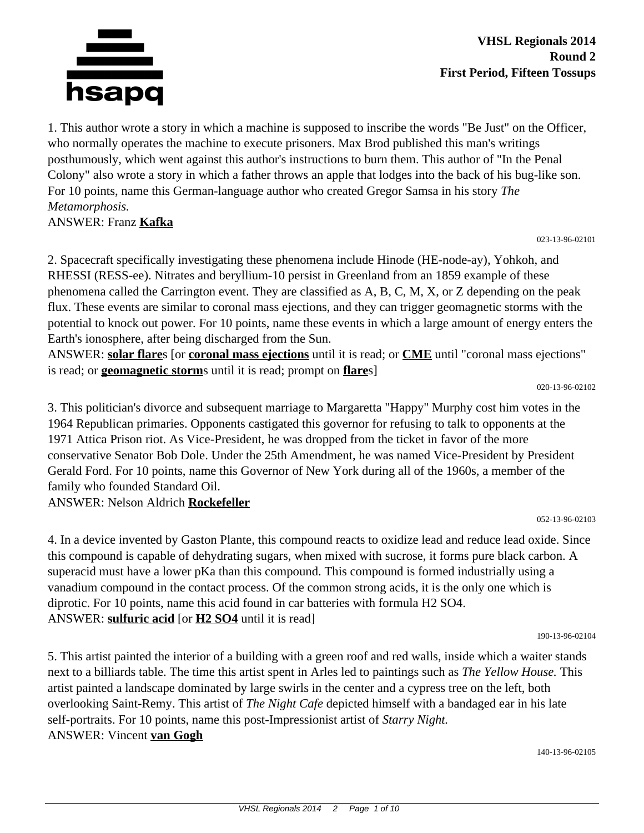

**VHSL Regionals 2014 Round 2 First Period, Fifteen Tossups**

1. This author wrote a story in which a machine is supposed to inscribe the words "Be Just" on the Officer, who normally operates the machine to execute prisoners. Max Brod published this man's writings posthumously, which went against this author's instructions to burn them. This author of "In the Penal Colony" also wrote a story in which a father throws an apple that lodges into the back of his bug-like son. For 10 points, name this German-language author who created Gregor Samsa in his story *The Metamorphosis.*

ANSWER: Franz **Kafka**

023-13-96-02101

2. Spacecraft specifically investigating these phenomena include Hinode (HE-node-ay), Yohkoh, and RHESSI (RESS-ee). Nitrates and beryllium-10 persist in Greenland from an 1859 example of these phenomena called the Carrington event. They are classified as A, B, C, M, X, or Z depending on the peak flux. These events are similar to coronal mass ejections, and they can trigger geomagnetic storms with the potential to knock out power. For 10 points, name these events in which a large amount of energy enters the Earth's ionosphere, after being discharged from the Sun.

ANSWER: **solar flare**s [or **coronal mass ejections** until it is read; or **CME** until "coronal mass ejections" is read; or **geomagnetic storm**s until it is read; prompt on **flare**s]

020-13-96-02102

3. This politician's divorce and subsequent marriage to Margaretta "Happy" Murphy cost him votes in the 1964 Republican primaries. Opponents castigated this governor for refusing to talk to opponents at the 1971 Attica Prison riot. As Vice-President, he was dropped from the ticket in favor of the more conservative Senator Bob Dole. Under the 25th Amendment, he was named Vice-President by President Gerald Ford. For 10 points, name this Governor of New York during all of the 1960s, a member of the family who founded Standard Oil.

ANSWER: Nelson Aldrich **Rockefeller**

052-13-96-02103

4. In a device invented by Gaston Plante, this compound reacts to oxidize lead and reduce lead oxide. Since this compound is capable of dehydrating sugars, when mixed with sucrose, it forms pure black carbon. A superacid must have a lower pKa than this compound. This compound is formed industrially using a vanadium compound in the contact process. Of the common strong acids, it is the only one which is diprotic. For 10 points, name this acid found in car batteries with formula H2 SO4. ANSWER: **sulfuric acid** [or **H2 SO4** until it is read]

190-13-96-02104

5. This artist painted the interior of a building with a green roof and red walls, inside which a waiter stands next to a billiards table. The time this artist spent in Arles led to paintings such as *The Yellow House.* This artist painted a landscape dominated by large swirls in the center and a cypress tree on the left, both overlooking Saint-Remy. This artist of *The Night Cafe* depicted himself with a bandaged ear in his late self-portraits. For 10 points, name this post-Impressionist artist of *Starry Night.* ANSWER: Vincent **van Gogh**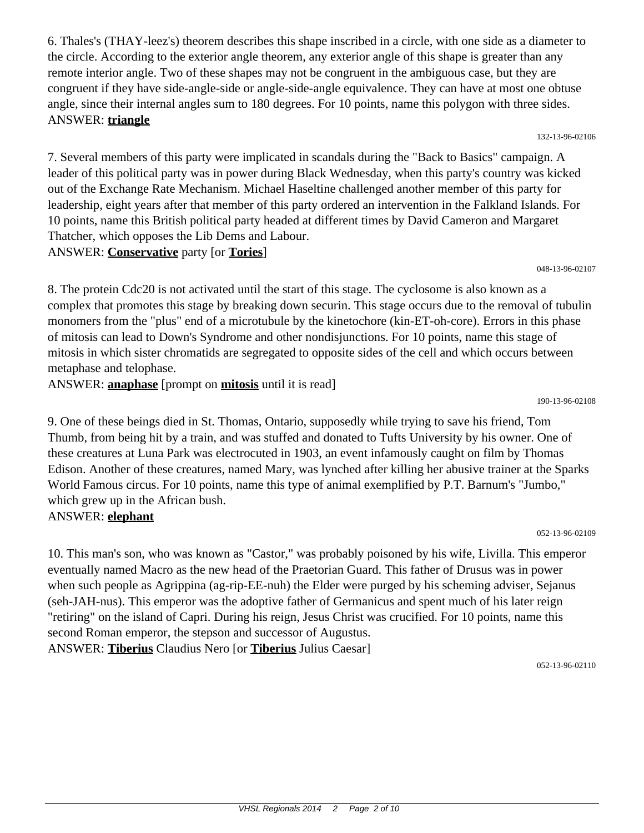6. Thales's (THAY-leez's) theorem describes this shape inscribed in a circle, with one side as a diameter to the circle. According to the exterior angle theorem, any exterior angle of this shape is greater than any remote interior angle. Two of these shapes may not be congruent in the ambiguous case, but they are congruent if they have side-angle-side or angle-side-angle equivalence. They can have at most one obtuse angle, since their internal angles sum to 180 degrees. For 10 points, name this polygon with three sides. ANSWER: **triangle**

132-13-96-02106

7. Several members of this party were implicated in scandals during the "Back to Basics" campaign. A leader of this political party was in power during Black Wednesday, when this party's country was kicked out of the Exchange Rate Mechanism. Michael Haseltine challenged another member of this party for leadership, eight years after that member of this party ordered an intervention in the Falkland Islands. For 10 points, name this British political party headed at different times by David Cameron and Margaret Thatcher, which opposes the Lib Dems and Labour. ANSWER: **Conservative** party [or **Tories**]

048-13-96-02107

8. The protein Cdc20 is not activated until the start of this stage. The cyclosome is also known as a complex that promotes this stage by breaking down securin. This stage occurs due to the removal of tubulin monomers from the "plus" end of a microtubule by the kinetochore (kin-ET-oh-core). Errors in this phase of mitosis can lead to Down's Syndrome and other nondisjunctions. For 10 points, name this stage of mitosis in which sister chromatids are segregated to opposite sides of the cell and which occurs between metaphase and telophase.

ANSWER: **anaphase** [prompt on **mitosis** until it is read]

190-13-96-02108

9. One of these beings died in St. Thomas, Ontario, supposedly while trying to save his friend, Tom Thumb, from being hit by a train, and was stuffed and donated to Tufts University by his owner. One of these creatures at Luna Park was electrocuted in 1903, an event infamously caught on film by Thomas Edison. Another of these creatures, named Mary, was lynched after killing her abusive trainer at the Sparks World Famous circus. For 10 points, name this type of animal exemplified by P.T. Barnum's "Jumbo," which grew up in the African bush.

#### ANSWER: **elephant**

052-13-96-02109

10. This man's son, who was known as "Castor," was probably poisoned by his wife, Livilla. This emperor eventually named Macro as the new head of the Praetorian Guard. This father of Drusus was in power when such people as Agrippina (ag-rip-EE-nuh) the Elder were purged by his scheming adviser, Sejanus (seh-JAH-nus). This emperor was the adoptive father of Germanicus and spent much of his later reign "retiring" on the island of Capri. During his reign, Jesus Christ was crucified. For 10 points, name this second Roman emperor, the stepson and successor of Augustus. ANSWER: **Tiberius** Claudius Nero [or **Tiberius** Julius Caesar]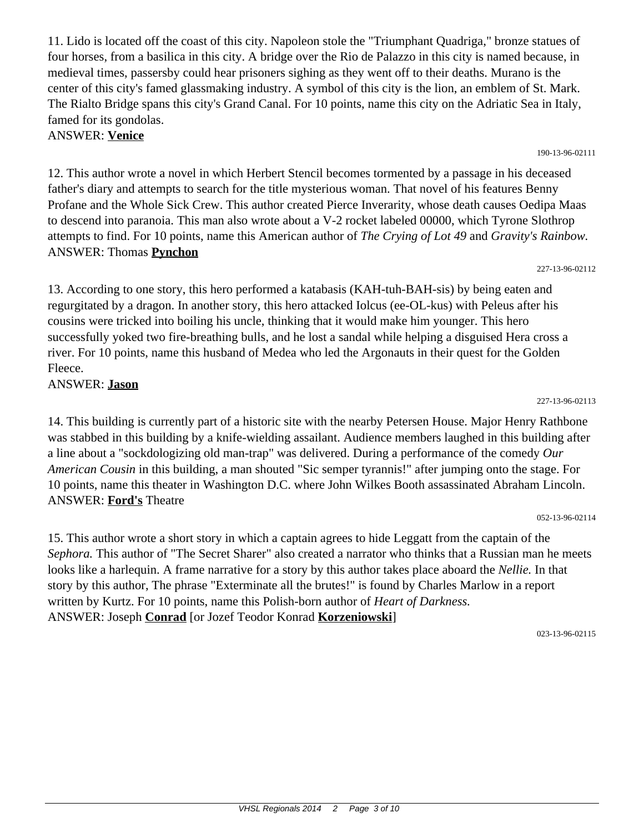11. Lido is located off the coast of this city. Napoleon stole the "Triumphant Quadriga," bronze statues of four horses, from a basilica in this city. A bridge over the Rio de Palazzo in this city is named because, in medieval times, passersby could hear prisoners sighing as they went off to their deaths. Murano is the center of this city's famed glassmaking industry. A symbol of this city is the lion, an emblem of St. Mark. The Rialto Bridge spans this city's Grand Canal. For 10 points, name this city on the Adriatic Sea in Italy, famed for its gondolas.

ANSWER: **Venice**

12. This author wrote a novel in which Herbert Stencil becomes tormented by a passage in his deceased father's diary and attempts to search for the title mysterious woman. That novel of his features Benny Profane and the Whole Sick Crew. This author created Pierce Inverarity, whose death causes Oedipa Maas to descend into paranoia. This man also wrote about a V-2 rocket labeled 00000, which Tyrone Slothrop attempts to find. For 10 points, name this American author of *The Crying of Lot 49* and *Gravity's Rainbow.* ANSWER: Thomas **Pynchon**

227-13-96-02112

190-13-96-02111

13. According to one story, this hero performed a katabasis (KAH-tuh-BAH-sis) by being eaten and regurgitated by a dragon. In another story, this hero attacked Iolcus (ee-OL-kus) with Peleus after his cousins were tricked into boiling his uncle, thinking that it would make him younger. This hero successfully yoked two fire-breathing bulls, and he lost a sandal while helping a disguised Hera cross a river. For 10 points, name this husband of Medea who led the Argonauts in their quest for the Golden Fleece.

ANSWER: **Jason**

14. This building is currently part of a historic site with the nearby Petersen House. Major Henry Rathbone was stabbed in this building by a knife-wielding assailant. Audience members laughed in this building after a line about a "sockdologizing old man-trap" was delivered. During a performance of the comedy *Our American Cousin* in this building, a man shouted "Sic semper tyrannis!" after jumping onto the stage. For 10 points, name this theater in Washington D.C. where John Wilkes Booth assassinated Abraham Lincoln. ANSWER: **Ford's** Theatre

052-13-96-02114

15. This author wrote a short story in which a captain agrees to hide Leggatt from the captain of the *Sephora.* This author of "The Secret Sharer" also created a narrator who thinks that a Russian man he meets looks like a harlequin. A frame narrative for a story by this author takes place aboard the *Nellie.* In that story by this author, The phrase "Exterminate all the brutes!" is found by Charles Marlow in a report written by Kurtz. For 10 points, name this Polish-born author of *Heart of Darkness.* ANSWER: Joseph **Conrad** [or Jozef Teodor Konrad **Korzeniowski**]

023-13-96-02115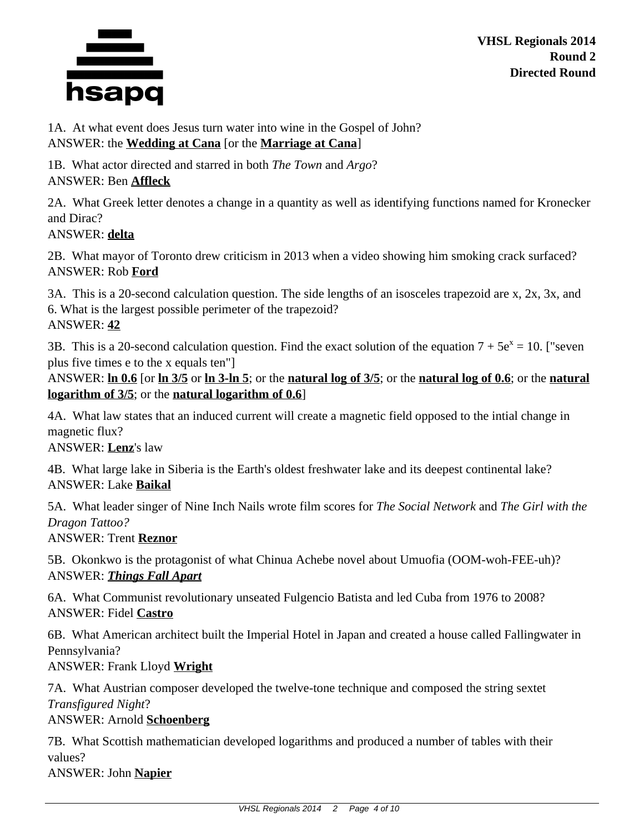

1A. At what event does Jesus turn water into wine in the Gospel of John? ANSWER: the **Wedding at Cana** [or the **Marriage at Cana**]

1B. What actor directed and starred in both *The Town* and *Argo*? ANSWER: Ben **Affleck**

2A. What Greek letter denotes a change in a quantity as well as identifying functions named for Kronecker and Dirac?

### ANSWER: **delta**

2B. What mayor of Toronto drew criticism in 2013 when a video showing him smoking crack surfaced? ANSWER: Rob **Ford**

3A. This is a 20-second calculation question. The side lengths of an isosceles trapezoid are x, 2x, 3x, and 6. What is the largest possible perimeter of the trapezoid? ANSWER: **42**

3B. This is a 20-second calculation question. Find the exact solution of the equation  $7 + 5e^x = 10$ . ["seven plus five times e to the x equals ten"]

ANSWER: **ln 0.6** [or **ln 3/5** or **ln 3-ln 5**; or the **natural log of 3/5**; or the **natural log of 0.6**; or the **natural logarithm of 3/5**; or the **natural logarithm of 0.6**]

4A. What law states that an induced current will create a magnetic field opposed to the intial change in magnetic flux?

ANSWER: **Lenz**'s law

4B. What large lake in Siberia is the Earth's oldest freshwater lake and its deepest continental lake? ANSWER: Lake **Baikal**

5A. What leader singer of Nine Inch Nails wrote film scores for *The Social Network* and *The Girl with the Dragon Tattoo?*

ANSWER: Trent **Reznor**

5B. Okonkwo is the protagonist of what Chinua Achebe novel about Umuofia (OOM-woh-FEE-uh)? ANSWER: *Things Fall Apart*

6A. What Communist revolutionary unseated Fulgencio Batista and led Cuba from 1976 to 2008? ANSWER: Fidel **Castro**

6B. What American architect built the Imperial Hotel in Japan and created a house called Fallingwater in Pennsylvania?

ANSWER: Frank Lloyd **Wright**

7A. What Austrian composer developed the twelve-tone technique and composed the string sextet *Transfigured Night*?

### ANSWER: Arnold **Schoenberg**

7B. What Scottish mathematician developed logarithms and produced a number of tables with their values?

ANSWER: John **Napier**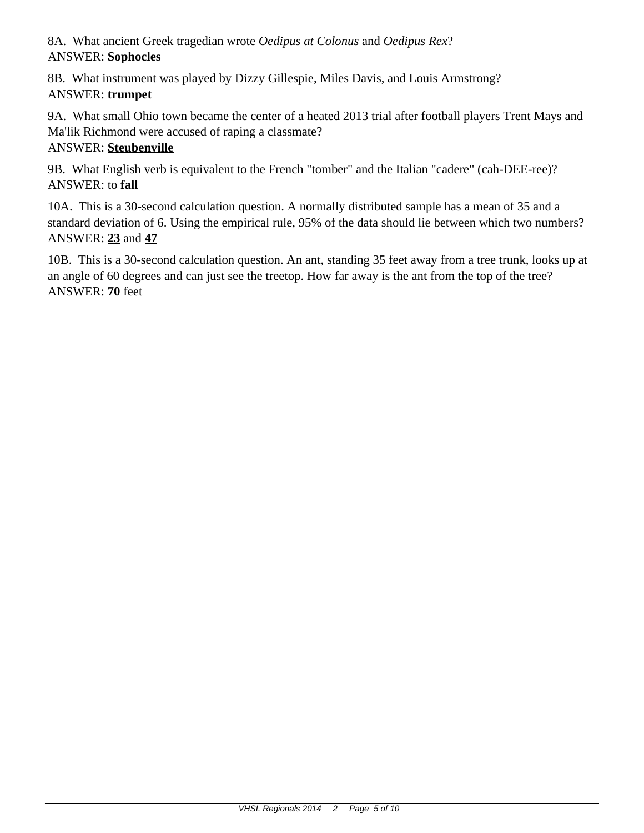8A. What ancient Greek tragedian wrote *Oedipus at Colonus* and *Oedipus Rex*? ANSWER: **Sophocles**

8B. What instrument was played by Dizzy Gillespie, Miles Davis, and Louis Armstrong? ANSWER: **trumpet**

9A. What small Ohio town became the center of a heated 2013 trial after football players Trent Mays and Ma'lik Richmond were accused of raping a classmate?

## ANSWER: **Steubenville**

9B. What English verb is equivalent to the French "tomber" and the Italian "cadere" (cah-DEE-ree)? ANSWER: to **fall**

10A. This is a 30-second calculation question. A normally distributed sample has a mean of 35 and a standard deviation of 6. Using the empirical rule, 95% of the data should lie between which two numbers? ANSWER: **23** and **47**

10B. This is a 30-second calculation question. An ant, standing 35 feet away from a tree trunk, looks up at an angle of 60 degrees and can just see the treetop. How far away is the ant from the top of the tree? ANSWER: **70** feet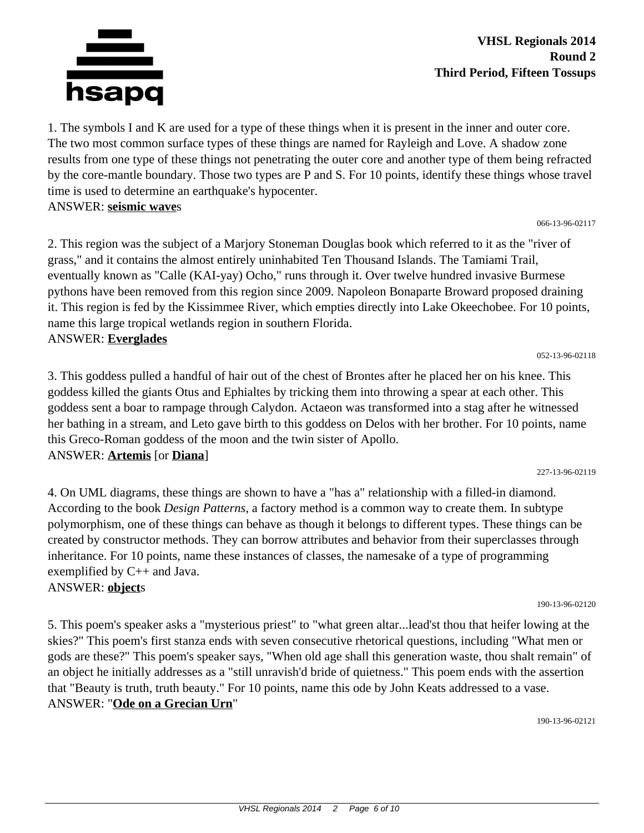

1. The symbols I and K are used for a type of these things when it is present in the inner and outer core. The two most common surface types of these things are named for Rayleigh and Love. A shadow zone results from one type of these things not penetrating the outer core and another type of them being refracted by the core-mantle boundary. Those two types are P and S. For 10 points, identify these things whose travel time is used to determine an earthquake's hypocenter. ANSWER: **seismic wave**s

066-13-96-02117

2. This region was the subject of a Marjory Stoneman Douglas book which referred to it as the "river of grass," and it contains the almost entirely uninhabited Ten Thousand Islands. The Tamiami Trail, eventually known as "Calle (KAI-yay) Ocho," runs through it. Over twelve hundred invasive Burmese pythons have been removed from this region since 2009. Napoleon Bonaparte Broward proposed draining it. This region is fed by the Kissimmee River, which empties directly into Lake Okeechobee. For 10 points, name this large tropical wetlands region in southern Florida. ANSWER: **Everglades**

052-13-96-02118

3. This goddess pulled a handful of hair out of the chest of Brontes after he placed her on his knee. This goddess killed the giants Otus and Ephialtes by tricking them into throwing a spear at each other. This goddess sent a boar to rampage through Calydon. Actaeon was transformed into a stag after he witnessed her bathing in a stream, and Leto gave birth to this goddess on Delos with her brother. For 10 points, name this Greco-Roman goddess of the moon and the twin sister of Apollo. ANSWER: **Artemis** [or **Diana**]

227-13-96-02119

4. On UML diagrams, these things are shown to have a "has a" relationship with a filled-in diamond. According to the book *Design Patterns*, a factory method is a common way to create them. In subtype polymorphism, one of these things can behave as though it belongs to different types. These things can be created by constructor methods. They can borrow attributes and behavior from their superclasses through inheritance. For 10 points, name these instances of classes, the namesake of a type of programming exemplified by C++ and Java.

ANSWER: **object**s

5. This poem's speaker asks a "mysterious priest" to "what green altar...lead'st thou that heifer lowing at the skies?" This poem's first stanza ends with seven consecutive rhetorical questions, including "What men or gods are these?" This poem's speaker says, "When old age shall this generation waste, thou shalt remain" of an object he initially addresses as a "still unravish'd bride of quietness." This poem ends with the assertion that "Beauty is truth, truth beauty." For 10 points, name this ode by John Keats addressed to a vase. ANSWER: "**Ode on a Grecian Urn**"

190-13-96-02121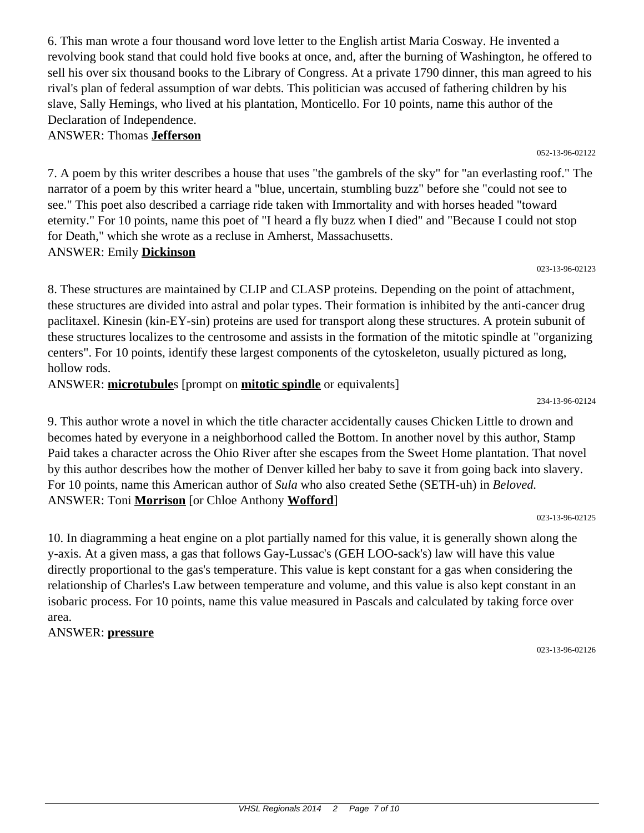6. This man wrote a four thousand word love letter to the English artist Maria Cosway. He invented a revolving book stand that could hold five books at once, and, after the burning of Washington, he offered to sell his over six thousand books to the Library of Congress. At a private 1790 dinner, this man agreed to his rival's plan of federal assumption of war debts. This politician was accused of fathering children by his slave, Sally Hemings, who lived at his plantation, Monticello. For 10 points, name this author of the Declaration of Independence.

#### ANSWER: Thomas **Jefferson**

7. A poem by this writer describes a house that uses "the gambrels of the sky" for "an everlasting roof." The narrator of a poem by this writer heard a "blue, uncertain, stumbling buzz" before she "could not see to see." This poet also described a carriage ride taken with Immortality and with horses headed "toward eternity." For 10 points, name this poet of "I heard a fly buzz when I died" and "Because I could not stop for Death," which she wrote as a recluse in Amherst, Massachusetts. ANSWER: Emily **Dickinson**

#### 023-13-96-02123

052-13-96-02122

8. These structures are maintained by CLIP and CLASP proteins. Depending on the point of attachment, these structures are divided into astral and polar types. Their formation is inhibited by the anti-cancer drug paclitaxel. Kinesin (kin-EY-sin) proteins are used for transport along these structures. A protein subunit of these structures localizes to the centrosome and assists in the formation of the mitotic spindle at "organizing centers". For 10 points, identify these largest components of the cytoskeleton, usually pictured as long, hollow rods.

ANSWER: **microtubule**s [prompt on **mitotic spindle** or equivalents]

234-13-96-02124

9. This author wrote a novel in which the title character accidentally causes Chicken Little to drown and becomes hated by everyone in a neighborhood called the Bottom. In another novel by this author, Stamp Paid takes a character across the Ohio River after she escapes from the Sweet Home plantation. That novel by this author describes how the mother of Denver killed her baby to save it from going back into slavery. For 10 points, name this American author of *Sula* who also created Sethe (SETH-uh) in *Beloved.* ANSWER: Toni **Morrison** [or Chloe Anthony **Wofford**]

023-13-96-02125

10. In diagramming a heat engine on a plot partially named for this value, it is generally shown along the y-axis. At a given mass, a gas that follows Gay-Lussac's (GEH LOO-sack's) law will have this value directly proportional to the gas's temperature. This value is kept constant for a gas when considering the relationship of Charles's Law between temperature and volume, and this value is also kept constant in an isobaric process. For 10 points, name this value measured in Pascals and calculated by taking force over area.

### ANSWER: **pressure**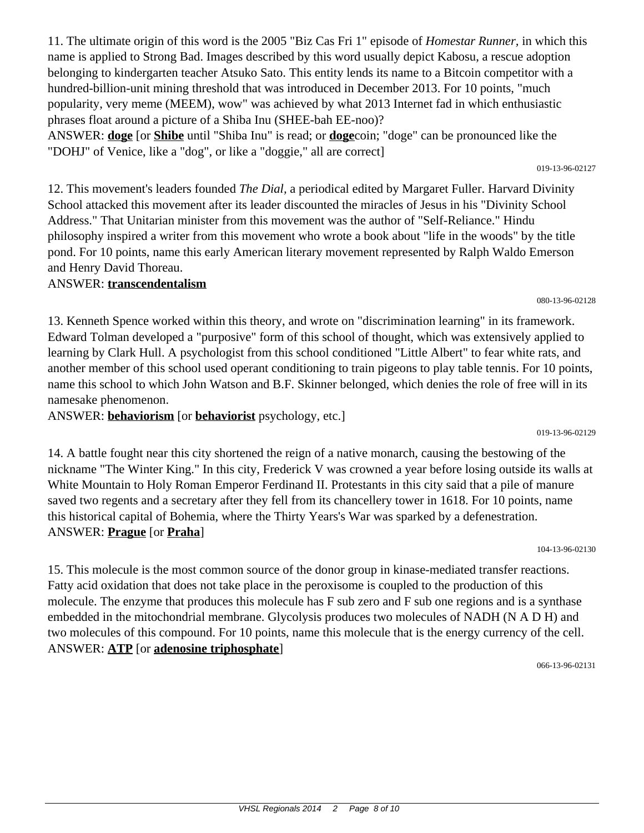11. The ultimate origin of this word is the 2005 "Biz Cas Fri 1" episode of *Homestar Runner,* in which this name is applied to Strong Bad. Images described by this word usually depict Kabosu, a rescue adoption belonging to kindergarten teacher Atsuko Sato. This entity lends its name to a Bitcoin competitor with a hundred-billion-unit mining threshold that was introduced in December 2013. For 10 points, "much popularity, very meme (MEEM), wow" was achieved by what 2013 Internet fad in which enthusiastic phrases float around a picture of a Shiba Inu (SHEE-bah EE-noo)?

ANSWER: **doge** [or **Shibe** until "Shiba Inu" is read; or **doge**coin; "doge" can be pronounced like the "DOHJ" of Venice, like a "dog", or like a "doggie," all are correct]

12. This movement's leaders founded *The Dial,* a periodical edited by Margaret Fuller. Harvard Divinity School attacked this movement after its leader discounted the miracles of Jesus in his "Divinity School Address." That Unitarian minister from this movement was the author of "Self-Reliance." Hindu philosophy inspired a writer from this movement who wrote a book about "life in the woods" by the title pond. For 10 points, name this early American literary movement represented by Ralph Waldo Emerson and Henry David Thoreau.

# ANSWER: **transcendentalism**

13. Kenneth Spence worked within this theory, and wrote on "discrimination learning" in its framework. Edward Tolman developed a "purposive" form of this school of thought, which was extensively applied to learning by Clark Hull. A psychologist from this school conditioned "Little Albert" to fear white rats, and another member of this school used operant conditioning to train pigeons to play table tennis. For 10 points, name this school to which John Watson and B.F. Skinner belonged, which denies the role of free will in its namesake phenomenon.

ANSWER: **behaviorism** [or **behaviorist** psychology, etc.]

14. A battle fought near this city shortened the reign of a native monarch, causing the bestowing of the nickname "The Winter King." In this city, Frederick V was crowned a year before losing outside its walls at White Mountain to Holy Roman Emperor Ferdinand II. Protestants in this city said that a pile of manure saved two regents and a secretary after they fell from its chancellery tower in 1618. For 10 points, name this historical capital of Bohemia, where the Thirty Years's War was sparked by a defenestration. ANSWER: **Prague** [or **Praha**]

104-13-96-02130

15. This molecule is the most common source of the donor group in kinase-mediated transfer reactions. Fatty acid oxidation that does not take place in the peroxisome is coupled to the production of this molecule. The enzyme that produces this molecule has F sub zero and F sub one regions and is a synthase embedded in the mitochondrial membrane. Glycolysis produces two molecules of NADH (N A D H) and two molecules of this compound. For 10 points, name this molecule that is the energy currency of the cell. ANSWER: **ATP** [or **adenosine triphosphate**]

066-13-96-02131

080-13-96-02128

019-13-96-02127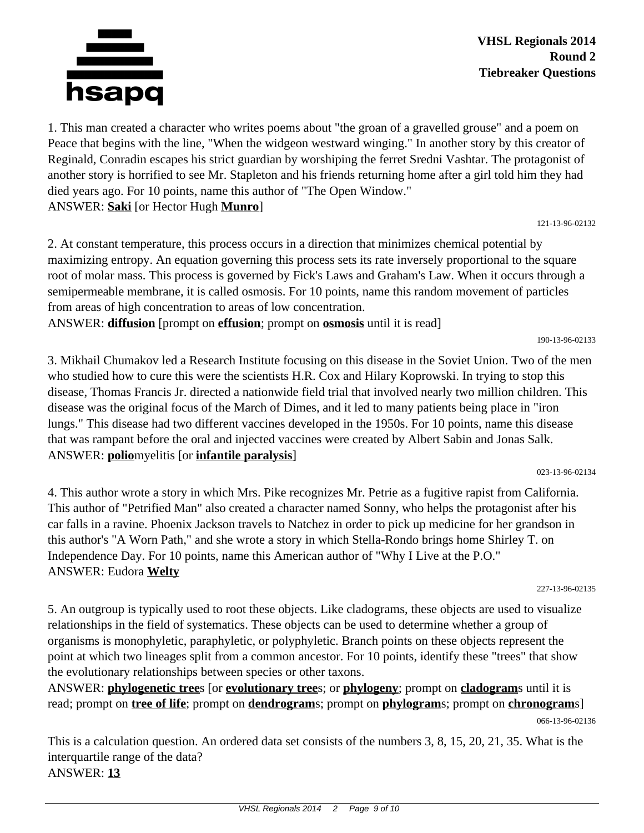

1. This man created a character who writes poems about "the groan of a gravelled grouse" and a poem on Peace that begins with the line, "When the widgeon westward winging." In another story by this creator of Reginald, Conradin escapes his strict guardian by worshiping the ferret Sredni Vashtar. The protagonist of another story is horrified to see Mr. Stapleton and his friends returning home after a girl told him they had died years ago. For 10 points, name this author of "The Open Window." ANSWER: **Saki** [or Hector Hugh **Munro**]

121-13-96-02132

2. At constant temperature, this process occurs in a direction that minimizes chemical potential by maximizing entropy. An equation governing this process sets its rate inversely proportional to the square root of molar mass. This process is governed by Fick's Laws and Graham's Law. When it occurs through a semipermeable membrane, it is called osmosis. For 10 points, name this random movement of particles from areas of high concentration to areas of low concentration.

ANSWER: **diffusion** [prompt on **effusion**; prompt on **osmosis** until it is read]

190-13-96-02133

3. Mikhail Chumakov led a Research Institute focusing on this disease in the Soviet Union. Two of the men who studied how to cure this were the scientists H.R. Cox and Hilary Koprowski. In trying to stop this disease, Thomas Francis Jr. directed a nationwide field trial that involved nearly two million children. This disease was the original focus of the March of Dimes, and it led to many patients being place in "iron lungs." This disease had two different vaccines developed in the 1950s. For 10 points, name this disease that was rampant before the oral and injected vaccines were created by Albert Sabin and Jonas Salk. ANSWER: **polio**myelitis [or **infantile paralysis**]

023-13-96-02134

4. This author wrote a story in which Mrs. Pike recognizes Mr. Petrie as a fugitive rapist from California. This author of "Petrified Man" also created a character named Sonny, who helps the protagonist after his car falls in a ravine. Phoenix Jackson travels to Natchez in order to pick up medicine for her grandson in this author's "A Worn Path," and she wrote a story in which Stella-Rondo brings home Shirley T. on Independence Day. For 10 points, name this American author of "Why I Live at the P.O." ANSWER: Eudora **Welty**

227-13-96-02135

5. An outgroup is typically used to root these objects. Like cladograms, these objects are used to visualize relationships in the field of systematics. These objects can be used to determine whether a group of organisms is monophyletic, paraphyletic, or polyphyletic. Branch points on these objects represent the point at which two lineages split from a common ancestor. For 10 points, identify these "trees" that show the evolutionary relationships between species or other taxons.

ANSWER: **phylogenetic tree**s [or **evolutionary tree**s; or **phylogeny**; prompt on **cladogram**s until it is read; prompt on **tree of life**; prompt on **dendrogram**s; prompt on **phylogram**s; prompt on **chronogram**s]

This is a calculation question. An ordered data set consists of the numbers 3, 8, 15, 20, 21, 35. What is the interquartile range of the data? ANSWER: **13**

<sup>066-13-96-02136</sup>